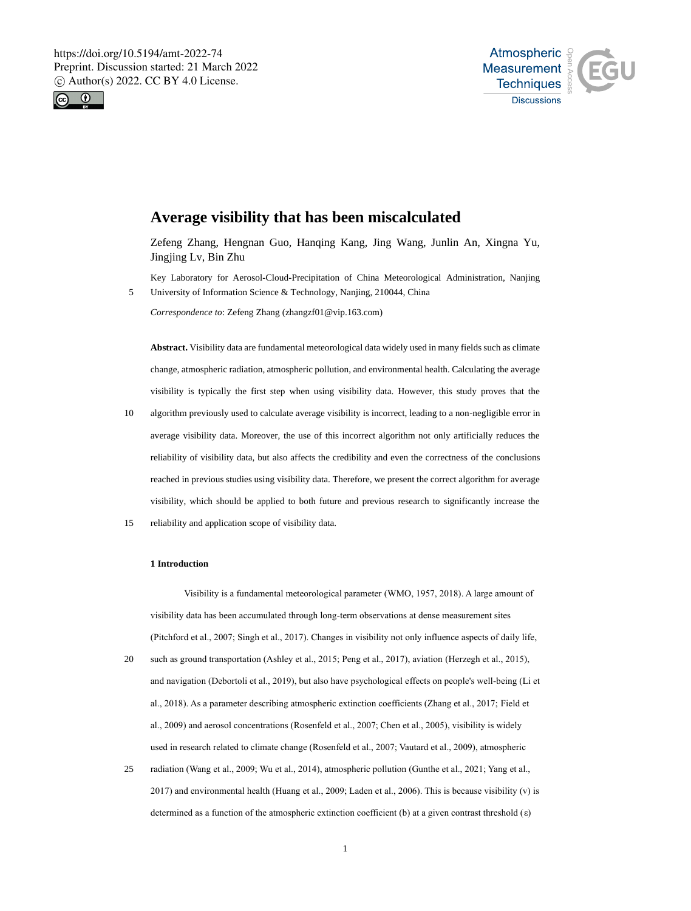



# **Average visibility that has been miscalculated**

Zefeng Zhang, Hengnan Guo, Hanqing Kang, Jing Wang, Junlin An, Xingna Yu, Jingjing Lv, Bin Zhu

Key Laboratory for Aerosol-Cloud-Precipitation of China Meteorological Administration, Nanjing 5 University of Information Science & Technology, Nanjing, 210044, China

*Correspondence to*: Zefeng Zhang (zhangzf01@vip.163.com)

**Abstract.** Visibility data are fundamental meteorological data widely used in many fields such as climate change, atmospheric radiation, atmospheric pollution, and environmental health. Calculating the average visibility is typically the first step when using visibility data. However, this study proves that the

- 10 algorithm previously used to calculate average visibility is incorrect, leading to a non-negligible error in average visibility data. Moreover, the use of this incorrect algorithm not only artificially reduces the reliability of visibility data, but also affects the credibility and even the correctness of the conclusions reached in previous studies using visibility data. Therefore, we present the correct algorithm for average visibility, which should be applied to both future and previous research to significantly increase the
- 15 reliability and application scope of visibility data.

### **1 Introduction**

Visibility is a fundamental meteorological parameter (WMO, 1957, 2018). A large amount of visibility data has been accumulated through long-term observations at dense measurement sites (Pitchford et al., 2007; Singh et al., 2017). Changes in visibility not only influence aspects of daily life,

- 20 such as ground transportation (Ashley et al., 2015; Peng et al., 2017), aviation (Herzegh et al., 2015), and navigation (Debortoli et al., 2019), but also have psychological effects on people's well-being (Li et al., 2018). As a parameter describing atmospheric extinction coefficients (Zhang et al., 2017; Field et al., 2009) and aerosol concentrations (Rosenfeld et al., 2007; Chen et al., 2005), visibility is widely used in research related to climate change (Rosenfeld et al., 2007; Vautard et al., 2009), atmospheric
- 25 radiation (Wang et al., 2009; Wu et al., 2014), atmospheric pollution (Gunthe et al., 2021; Yang et al., 2017) and environmental health (Huang et al., 2009; Laden et al., 2006). This is because visibility (v) is determined as a function of the atmospheric extinction coefficient (b) at a given contrast threshold  $(\varepsilon)$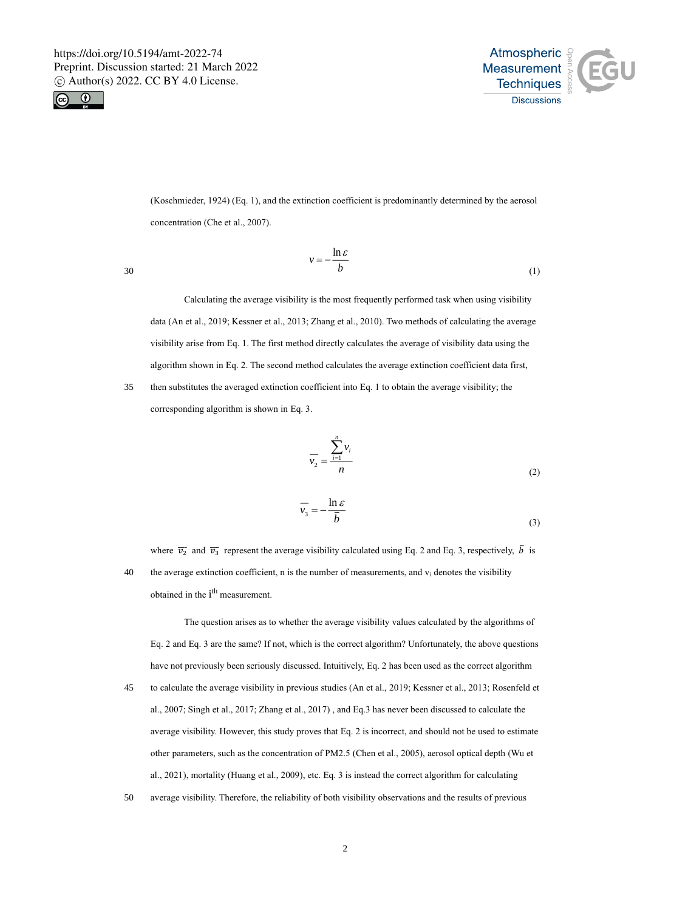



(Koschmieder, 1924) (Eq. 1), and the extinction coefficient is predominantly determined by the aerosol concentration (Che et al., 2007).

$$
v = -\frac{\ln \varepsilon}{b} \tag{1}
$$

Calculating the average visibility is the most frequently performed task when using visibility data (An et al., 2019; Kessner et al., 2013; Zhang et al., 2010). Two methods of calculating the average visibility arise from Eq. 1. The first method directly calculates the average of visibility data using the algorithm shown in Eq. 2. The second method calculates the average extinction coefficient data first, 35 then substitutes the averaged extinction coefficient into Eq. 1 to obtain the average visibility; the

corresponding algorithm is shown in Eq. 3.

$$
\overline{v_2} = \frac{\sum_{i=1}^{n} v_i}{n}
$$
 (2)

$$
\overline{v_3} = -\frac{\ln \varepsilon}{\overline{b}} \tag{3}
$$

where  $\overline{v_2}$  and  $\overline{v_3}$  represent the average visibility calculated using Eq. 2 and Eq. 3, respectively,  $\overline{b}$  is 40 the average extinction coefficient, n is the number of measurements, and  $v_i$  denotes the visibility obtained in the i<sup>th</sup> measurement.

The question arises as to whether the average visibility values calculated by the algorithms of Eq. 2 and Eq. 3 are the same? If not, which is the correct algorithm? Unfortunately, the above questions have not previously been seriously discussed. Intuitively, Eq. 2 has been used as the correct algorithm 45 to calculate the average visibility in previous studies (An et al., 2019; Kessner et al., 2013; Rosenfeld et al., 2007; Singh et al., 2017; Zhang et al., 2017) , and Eq.3 has never been discussed to calculate the average visibility. However, this study proves that Eq. 2 is incorrect, and should not be used to estimate other parameters, such as the concentration of PM2.5 (Chen et al., 2005), aerosol optical depth (Wu et al., 2021), mortality (Huang et al., 2009), etc. Eq. 3 is instead the correct algorithm for calculating 50 average visibility. Therefore, the reliability of both visibility observations and the results of previous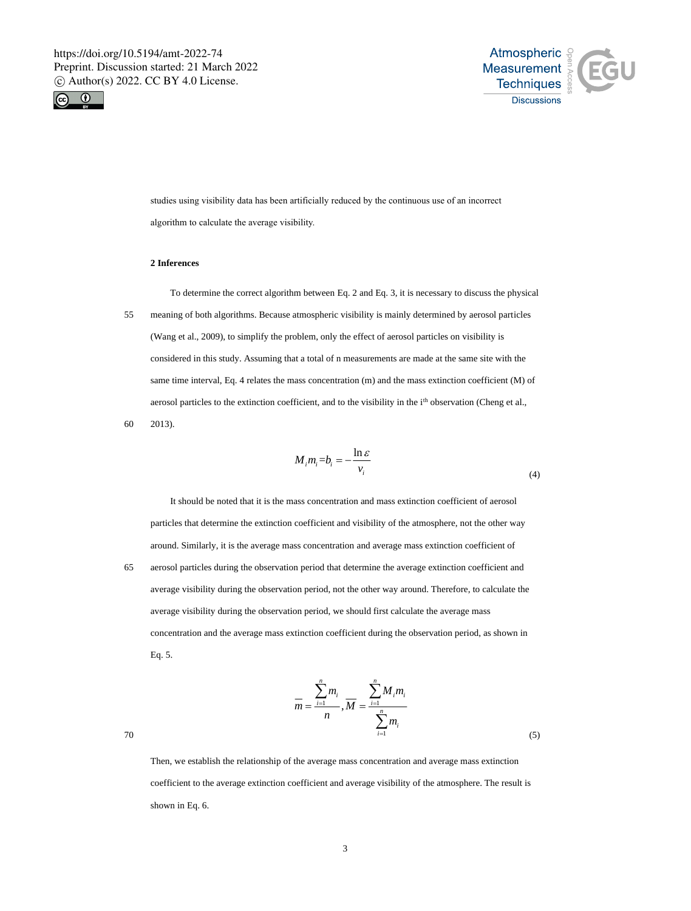



studies using visibility data has been artificially reduced by the continuous use of an incorrect algorithm to calculate the average visibility.

# **2 Inferences**

To determine the correct algorithm between Eq. 2 and Eq. 3, it is necessary to discuss the physical 55 meaning of both algorithms. Because atmospheric visibility is mainly determined by aerosol particles (Wang et al., 2009), to simplify the problem, only the effect of aerosol particles on visibility is considered in this study. Assuming that a total of n measurements are made at the same site with the same time interval, Eq. 4 relates the mass concentration (m) and the mass extinction coefficient (M) of aerosol particles to the extinction coefficient, and to the visibility in the i<sup>th</sup> observation (Cheng et al., 60 2013).

$$
M_i m_i = b_i = -\frac{\ln \varepsilon}{v_i}
$$
 (4)

It should be noted that it is the mass concentration and mass extinction coefficient of aerosol particles that determine the extinction coefficient and visibility of the atmosphere, not the other way around. Similarly, it is the average mass concentration and average mass extinction coefficient of 65 aerosol particles during the observation period that determine the average extinction coefficient and average visibility during the observation period, not the other way around. Therefore, to calculate the average visibility during the observation period, we should first calculate the average mass concentration and the average mass extinction coefficient during the observation period, as shown in Eq. 5.

$$
\frac{1}{m} = \frac{\sum_{i=1}^{n} m_i}{n}, \overline{M} = \frac{\sum_{i=1}^{n} M_i m_i}{\sum_{i=1}^{n} m_i}
$$
\n(5)

Then, we establish the relationship of the average mass concentration and average mass extinction coefficient to the average extinction coefficient and average visibility of the atmosphere. The result is shown in Eq. 6.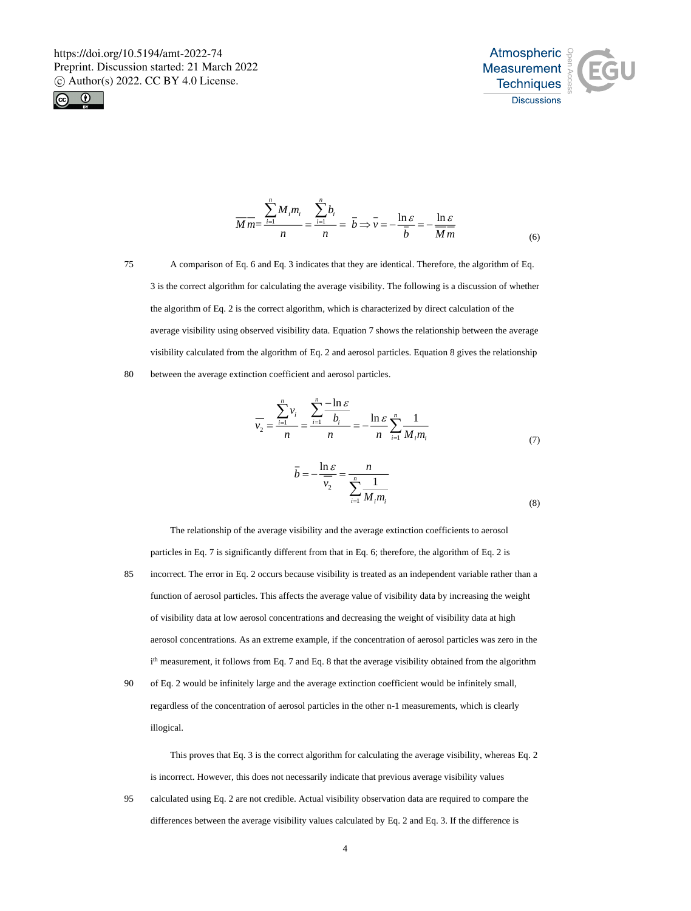



$$
\overline{M}\overline{m} = \frac{\sum_{i=1}^{n} M_i m_i}{n} = \frac{\sum_{i=1}^{n} b_i}{n} = \overline{b} \Rightarrow \overline{v} = -\frac{\ln \varepsilon}{\overline{b}} = -\frac{\ln \varepsilon}{\overline{M}\overline{m}}
$$
(6)

75 A comparison of Eq. 6 and Eq. 3 indicates that they are identical. Therefore, the algorithm of Eq. 3 is the correct algorithm for calculating the average visibility. The following is a discussion of whether the algorithm of Eq. 2 is the correct algorithm, which is characterized by direct calculation of the average visibility using observed visibility data. Equation 7 shows the relationship between the average visibility calculated from the algorithm of Eq. 2 and aerosol particles. Equation 8 gives the relationship

80 between the average extinction coefficient and aerosol particles.

$$
\overline{v}_2 = \frac{\sum_{i=1}^n v_i}{n} = \frac{\sum_{i=1}^n \frac{-\ln \varepsilon}{b_i}}{n} = -\frac{\ln \varepsilon}{n} \sum_{i=1}^n \frac{1}{M_i m_i}
$$
\n
$$
\overline{b} = -\frac{\ln \varepsilon}{n} = -\frac{n}{n}
$$
\n(7)

$$
p = -\frac{1}{\overline{v_2}} = \frac{1}{\sum_{i=1}^{n} \frac{1}{M_i m_i}}
$$
(8)

The relationship of the average visibility and the average extinction coefficients to aerosol particles in Eq. 7 is significantly different from that in Eq. 6; therefore, the algorithm of Eq. 2 is 85 incorrect. The error in Eq. 2 occurs because visibility is treated as an independent variable rather than a function of aerosol particles. This affects the average value of visibility data by increasing the weight of visibility data at low aerosol concentrations and decreasing the weight of visibility data at high aerosol concentrations. As an extreme example, if the concentration of aerosol particles was zero in the i<sup>th</sup> measurement, it follows from Eq. 7 and Eq. 8 that the average visibility obtained from the algorithm 90 of Eq. 2 would be infinitely large and the average extinction coefficient would be infinitely small,

regardless of the concentration of aerosol particles in the other n-1 measurements, which is clearly illogical.

This proves that Eq. 3 is the correct algorithm for calculating the average visibility, whereas Eq. 2 is incorrect. However, this does not necessarily indicate that previous average visibility values 95 calculated using Eq. 2 are not credible. Actual visibility observation data are required to compare the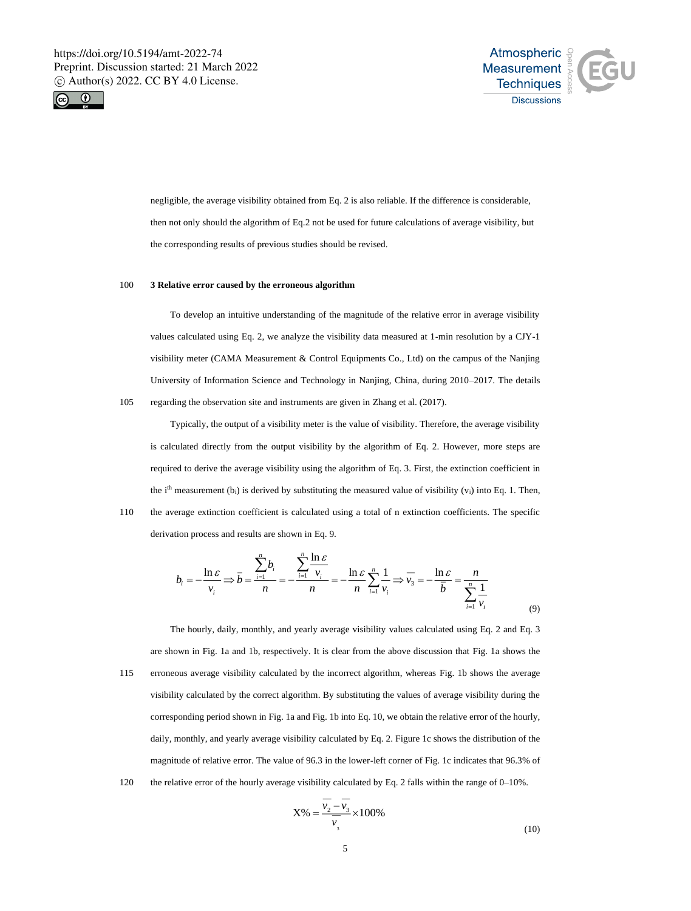



negligible, the average visibility obtained from Eq. 2 is also reliable. If the difference is considerable, then not only should the algorithm of Eq.2 not be used for future calculations of average visibility, but the corresponding results of previous studies should be revised.

### 100 **3 Relative error caused by the erroneous algorithm**

To develop an intuitive understanding of the magnitude of the relative error in average visibility values calculated using Eq. 2, we analyze the visibility data measured at 1-min resolution by a CJY-1 visibility meter (CAMA Measurement & Control Equipments Co., Ltd) on the campus of the Nanjing University of Information Science and Technology in Nanjing, China, during 2010–2017. The details 105 regarding the observation site and instruments are given in Zhang et al. (2017).

Typically, the output of a visibility meter is the value of visibility. Therefore, the average visibility is calculated directly from the output visibility by the algorithm of Eq. 2. However, more steps are required to derive the average visibility using the algorithm of Eq. 3. First, the extinction coefficient in the i<sup>th</sup> measurement (b<sub>i</sub>) is derived by substituting the measured value of visibility (v<sub>i</sub>) into Eq. 1. Then, 110 the average extinction coefficient is calculated using a total of n extinction coefficients. The specific derivation process and results are shown in Eq. 9.

$$
b_i = -\frac{\ln \varepsilon}{v_i} \Rightarrow \bar{b} = \frac{\sum_{i=1}^n b_i}{n} = -\frac{\sum_{i=1}^n \frac{\ln \varepsilon}{v_i}}{n} = -\frac{\ln \varepsilon}{n} \sum_{i=1}^n \frac{1}{v_i} \Rightarrow \overline{v_i} = -\frac{\ln \varepsilon}{\bar{b}} = \frac{n}{\sum_{i=1}^n \frac{1}{v_i}}
$$
(9)

The hourly, daily, monthly, and yearly average visibility values calculated using Eq. 2 and Eq. 3 are shown in Fig. 1a and 1b, respectively. It is clear from the above discussion that Fig. 1a shows the 115 erroneous average visibility calculated by the incorrect algorithm, whereas Fig. 1b shows the average visibility calculated by the correct algorithm. By substituting the values of average visibility during the corresponding period shown in Fig. 1a and Fig. 1b into Eq. 10, we obtain the relative error of the hourly, daily, monthly, and yearly average visibility calculated by Eq. 2. Figure 1c shows the distribution of the magnitude of relative error. The value of 96.3 in the lower-left corner of Fig. 1c indicates that 96.3% of 120 the relative error of the hourly average visibility calculated by Eq. 2 falls within the range of 0–10%.

$$
X\% = \frac{\overline{v_2} - \overline{v_3}}{\overline{v_3}} \times 100\%
$$
\n(10)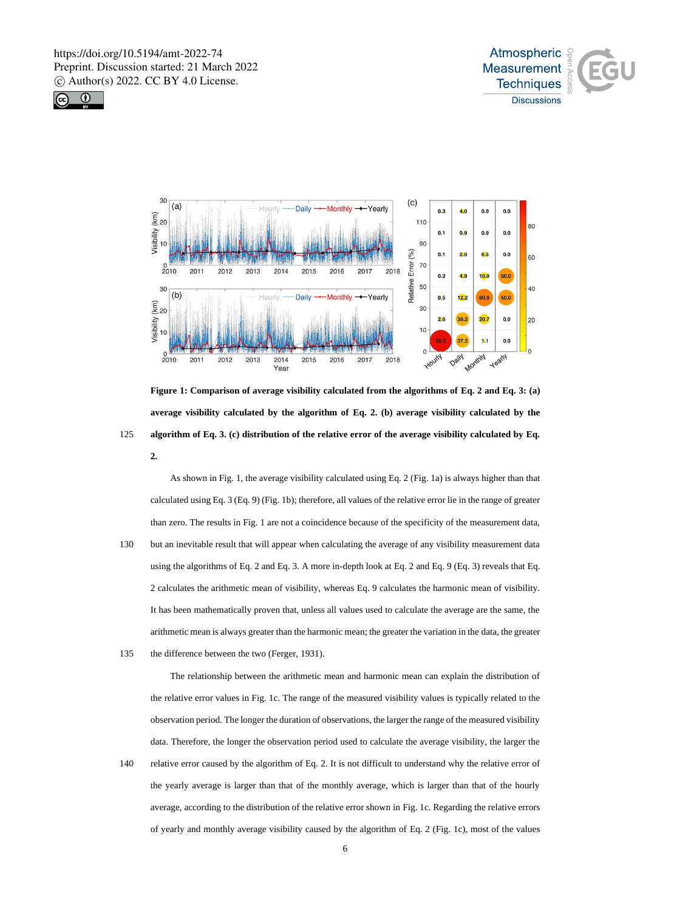





**Figure 1: Comparison of average visibility calculated from the algorithms of Eq. 2 and Eq. 3: (a) average visibility calculated by the algorithm of Eq. 2. (b) average visibility calculated by the**  125 **algorithm of Eq. 3. (c) distribution of the relative error of the average visibility calculated by Eq. 2.**

As shown in Fig. 1, the average visibility calculated using Eq. 2 (Fig. 1a) is always higher than that calculated using Eq. 3 (Eq. 9) (Fig. 1b); therefore, all values of the relative error lie in the range of greater than zero. The results in Fig. 1 are not a coincidence because of the specificity of the measurement data, 130 but an inevitable result that will appear when calculating the average of any visibility measurement data using the algorithms of Eq. 2 and Eq. 3. A more in-depth look at Eq. 2 and Eq. 9 (Eq. 3) reveals that Eq. 2 calculates the arithmetic mean of visibility, whereas Eq. 9 calculates the harmonic mean of visibility. It has been mathematically proven that, unless all values used to calculate the average are the same, the arithmetic mean is always greater than the harmonic mean; the greater the variation in the data, the greater 135 the difference between the two (Ferger, 1931).

The relationship between the arithmetic mean and harmonic mean can explain the distribution of the relative error values in Fig. 1c. The range of the measured visibility values is typically related to the observation period. The longer the duration of observations, the larger the range of the measured visibility data. Therefore, the longer the observation period used to calculate the average visibility, the larger the 140 relative error caused by the algorithm of Eq. 2. It is not difficult to understand why the relative error of

the yearly average is larger than that of the monthly average, which is larger than that of the hourly average, according to the distribution of the relative error shown in Fig. 1c. Regarding the relative errors of yearly and monthly average visibility caused by the algorithm of Eq. 2 (Fig. 1c), most of the values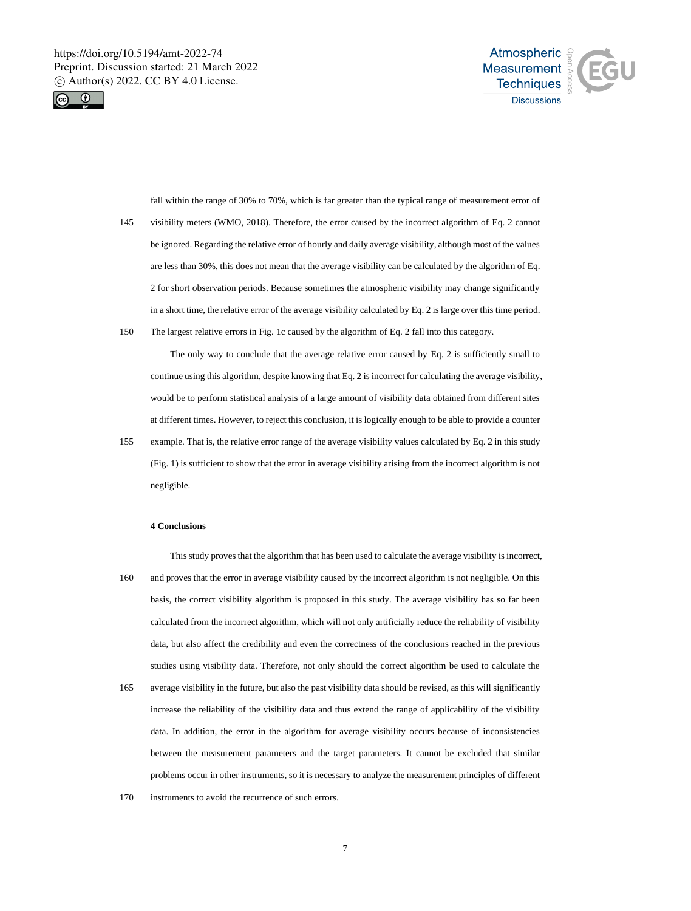



fall within the range of 30% to 70%, which is far greater than the typical range of measurement error of 145 visibility meters (WMO, 2018). Therefore, the error caused by the incorrect algorithm of Eq. 2 cannot be ignored. Regarding the relative error of hourly and daily average visibility, although most of the values are less than 30%, this does not mean that the average visibility can be calculated by the algorithm of Eq. 2 for short observation periods. Because sometimes the atmospheric visibility may change significantly in a short time, the relative error of the average visibility calculated by Eq. 2 is large over this time period. 150 The largest relative errors in Fig. 1c caused by the algorithm of Eq. 2 fall into this category.

The only way to conclude that the average relative error caused by Eq. 2 is sufficiently small to continue using this algorithm, despite knowing that Eq. 2 is incorrect for calculating the average visibility, would be to perform statistical analysis of a large amount of visibility data obtained from different sites at different times. However, to reject this conclusion, it is logically enough to be able to provide a counter

155 example. That is, the relative error range of the average visibility values calculated by Eq. 2 in this study (Fig. 1) is sufficient to show that the error in average visibility arising from the incorrect algorithm is not negligible.

# **4 Conclusions**

This study proves that the algorithm that has been used to calculate the average visibility is incorrect, 160 and proves that the error in average visibility caused by the incorrect algorithm is not negligible. On this basis, the correct visibility algorithm is proposed in this study. The average visibility has so far been calculated from the incorrect algorithm, which will not only artificially reduce the reliability of visibility data, but also affect the credibility and even the correctness of the conclusions reached in the previous studies using visibility data. Therefore, not only should the correct algorithm be used to calculate the 165 average visibility in the future, but also the past visibility data should be revised, as this will significantly increase the reliability of the visibility data and thus extend the range of applicability of the visibility data. In addition, the error in the algorithm for average visibility occurs because of inconsistencies between the measurement parameters and the target parameters. It cannot be excluded that similar problems occur in other instruments, so it is necessary to analyze the measurement principles of different 170 instruments to avoid the recurrence of such errors.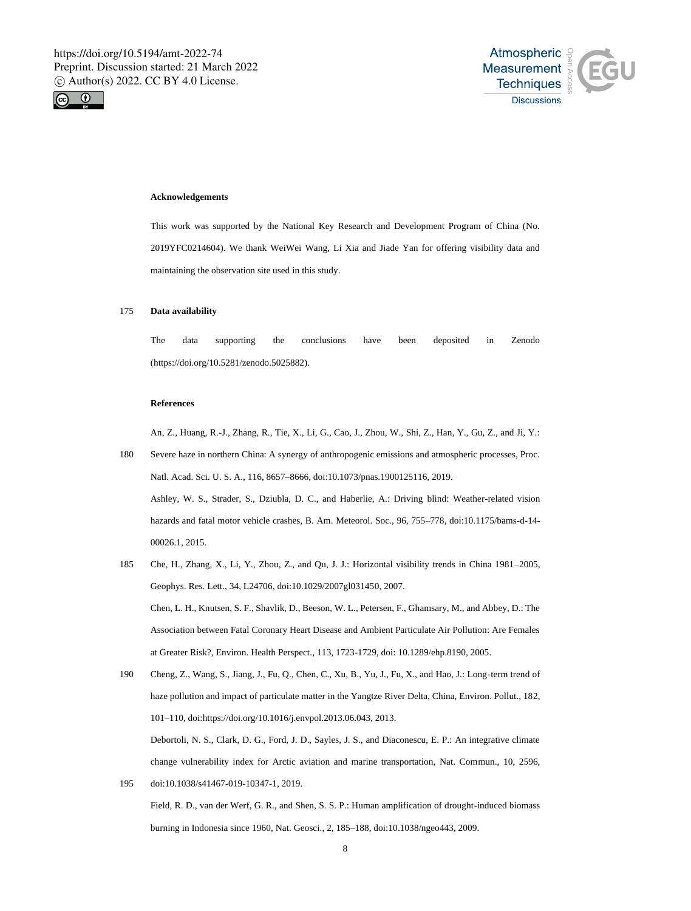



# **Acknowledgements**

This work was supported by the National Key Research and Development Program of China (No. 2019YFC0214604). We thank WeiWei Wang, Li Xia and Jiade Yan for offering visibility data and maintaining the observation site used in this study.

#### 175 **Data availability**

The data supporting the conclusions have been deposited in Zenodo (https://doi.org/10.5281/zenodo.5025882).

### **References**

An, Z., Huang, R.-J., Zhang, R., Tie, X., Li, G., Cao, J., Zhou, W., Shi, Z., Han, Y., Gu, Z., and Ji, Y.:

- 180 Severe haze in northern China: A synergy of anthropogenic emissions and atmospheric processes, Proc. Natl. Acad. Sci. U. S. A., 116, 8657–8666, doi:10.1073/pnas.1900125116, 2019. Ashley, W. S., Strader, S., Dziubla, D. C., and Haberlie, A.: Driving blind: Weather-related vision hazards and fatal motor vehicle crashes, B. Am. Meteorol. Soc., 96, 755–778, doi:10.1175/bams-d-14- 00026.1, 2015.
- 185 Che, H., Zhang, X., Li, Y., Zhou, Z., and Qu, J. J.: Horizontal visibility trends in China 1981–2005, Geophys. Res. Lett., 34, L24706, doi:10.1029/2007gl031450, 2007. Chen, L. H., Knutsen, S. F., Shavlik, D., Beeson, W. L., Petersen, F., Ghamsary, M., and Abbey, D.: The Association between Fatal Coronary Heart Disease and Ambient Particulate Air Pollution: Are Females at Greater Risk?, Environ. Health Perspect., 113, 1723-1729, doi: 10.1289/ehp.8190, 2005.
- 190 Cheng, Z., Wang, S., Jiang, J., Fu, Q., Chen, C., Xu, B., Yu, J., Fu, X., and Hao, J.: Long-term trend of haze pollution and impact of particulate matter in the Yangtze River Delta, China, Environ. Pollut., 182, 101–110, doi:https://doi.org/10.1016/j.envpol.2013.06.043, 2013. Debortoli, N. S., Clark, D. G., Ford, J. D., Sayles, J. S., and Diaconescu, E. P.: An integrative climate change vulnerability index for Arctic aviation and marine transportation, Nat. Commun., 10, 2596,
- 195 doi:10.1038/s41467-019-10347-1, 2019. Field, R. D., van der Werf, G. R., and Shen, S. S. P.: Human amplification of drought-induced biomass burning in Indonesia since 1960, Nat. Geosci., 2, 185–188, doi:10.1038/ngeo443, 2009.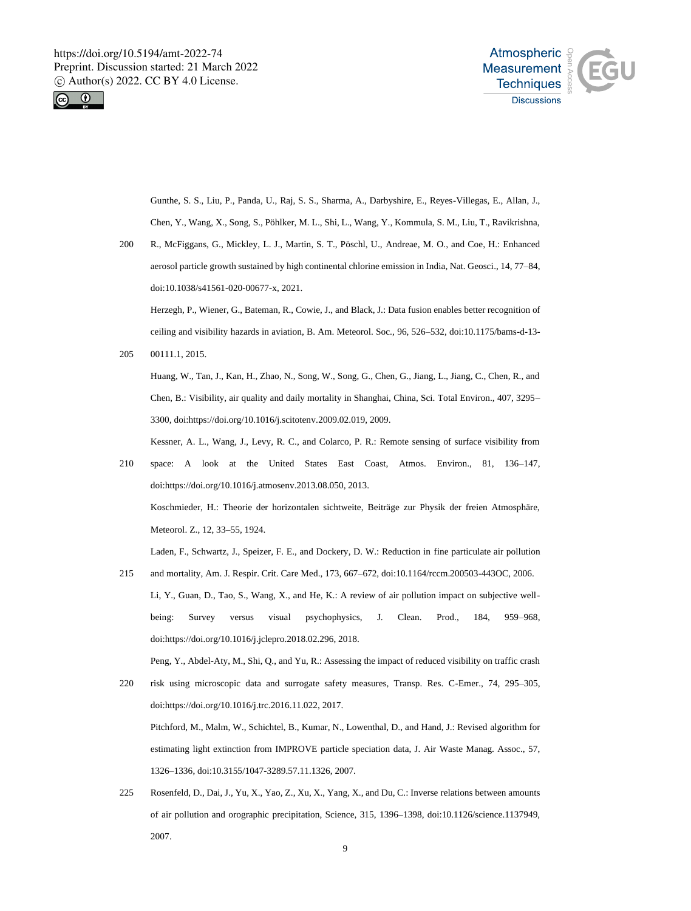



Gunthe, S. S., Liu, P., Panda, U., Raj, S. S., Sharma, A., Darbyshire, E., Reyes-Villegas, E., Allan, J., Chen, Y., Wang, X., Song, S., Pöhlker, M. L., Shi, L., Wang, Y., Kommula, S. M., Liu, T., Ravikrishna,

200 R., McFiggans, G., Mickley, L. J., Martin, S. T., Pöschl, U., Andreae, M. O., and Coe, H.: Enhanced aerosol particle growth sustained by high continental chlorine emission in India, Nat. Geosci., 14, 77–84, doi:10.1038/s41561-020-00677-x, 2021.

Herzegh, P., Wiener, G., Bateman, R., Cowie, J., and Black, J.: Data fusion enables better recognition of ceiling and visibility hazards in aviation, B. Am. Meteorol. Soc., 96, 526–532, doi:10.1175/bams-d-13-

205 00111.1, 2015.

Huang, W., Tan, J., Kan, H., Zhao, N., Song, W., Song, G., Chen, G., Jiang, L., Jiang, C., Chen, R., and Chen, B.: Visibility, air quality and daily mortality in Shanghai, China, Sci. Total Environ., 407, 3295– 3300, doi:https://doi.org/10.1016/j.scitotenv.2009.02.019, 2009.

Kessner, A. L., Wang, J., Levy, R. C., and Colarco, P. R.: Remote sensing of surface visibility from

210 space: A look at the United States East Coast, Atmos. Environ., 81, 136–147, doi:https://doi.org/10.1016/j.atmosenv.2013.08.050, 2013. Koschmieder, H.: Theorie der horizontalen sichtweite, Beiträge zur Physik der freien Atmosphäre, Meteorol. Z., 12, 33–55, 1924.

Laden, F., Schwartz, J., Speizer, F. E., and Dockery, D. W.: Reduction in fine particulate air pollution

215 and mortality, Am. J. Respir. Crit. Care Med., 173, 667–672, doi:10.1164/rccm.200503-443OC, 2006. Li, Y., Guan, D., Tao, S., Wang, X., and He, K.: A review of air pollution impact on subjective wellbeing: Survey versus visual psychophysics, J. Clean. Prod., 184, 959–968, doi:https://doi.org/10.1016/j.jclepro.2018.02.296, 2018.

Peng, Y., Abdel-Aty, M., Shi, Q., and Yu, R.: Assessing the impact of reduced visibility on traffic crash

- 220 risk using microscopic data and surrogate safety measures, Transp. Res. C-Emer., 74, 295–305, doi:https://doi.org/10.1016/j.trc.2016.11.022, 2017. Pitchford, M., Malm, W., Schichtel, B., Kumar, N., Lowenthal, D., and Hand, J.: Revised algorithm for estimating light extinction from IMPROVE particle speciation data, J. Air Waste Manag. Assoc., 57, 1326–1336, doi:10.3155/1047-3289.57.11.1326, 2007.
- 225 Rosenfeld, D., Dai, J., Yu, X., Yao, Z., Xu, X., Yang, X., and Du, C.: Inverse relations between amounts of air pollution and orographic precipitation, Science, 315, 1396–1398, doi:10.1126/science.1137949, 2007.